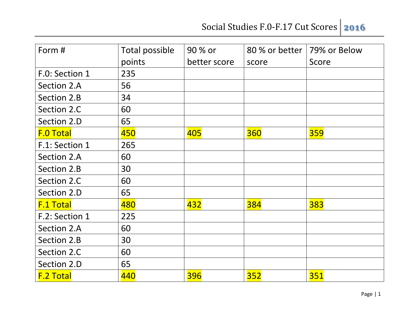| Form #           | Total possible | 90 % or      | 80 % or better | 79% or Below |
|------------------|----------------|--------------|----------------|--------------|
|                  | points         | better score | score          | Score        |
| F.O: Section 1   | 235            |              |                |              |
| Section 2.A      | 56             |              |                |              |
| Section 2.B      | 34             |              |                |              |
| Section 2.C      | 60             |              |                |              |
| Section 2.D      | 65             |              |                |              |
| <b>F.O Total</b> | 450            | 405          | 360            | <b>359</b>   |
| F.1: Section 1   | 265            |              |                |              |
| Section 2.A      | 60             |              |                |              |
| Section 2.B      | 30             |              |                |              |
| Section 2.C      | 60             |              |                |              |
| Section 2.D      | 65             |              |                |              |
| <b>F.1 Total</b> | 480            | 432          | <b>384</b>     | 383          |
| F.2: Section 1   | 225            |              |                |              |
| Section 2.A      | 60             |              |                |              |
| Section 2.B      | 30             |              |                |              |
| Section 2.C      | 60             |              |                |              |
| Section 2.D      | 65             |              |                |              |
| <b>F.2 Total</b> | 440            | 396          | <b>352</b>     | <b>351</b>   |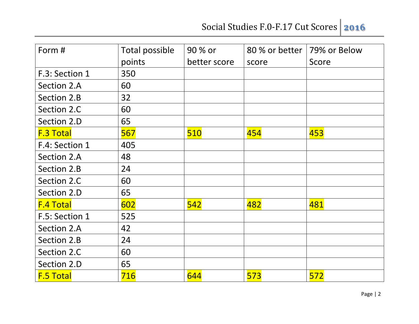| Form #           | Total possible | 90 % or      | 80 % or better | 79% or Below |
|------------------|----------------|--------------|----------------|--------------|
|                  | points         | better score | score          | Score        |
| F.3: Section 1   | 350            |              |                |              |
| Section 2.A      | 60             |              |                |              |
| Section 2.B      | 32             |              |                |              |
| Section 2.C      | 60             |              |                |              |
| Section 2.D      | 65             |              |                |              |
| <b>F.3 Total</b> | 567            | 510          | 454            | 453          |
| F.4: Section 1   | 405            |              |                |              |
| Section 2.A      | 48             |              |                |              |
| Section 2.B      | 24             |              |                |              |
| Section 2.C      | 60             |              |                |              |
| Section 2.D      | 65             |              |                |              |
| <b>F.4 Total</b> | 602            | 542          | 482            | 481          |
| F.5: Section 1   | 525            |              |                |              |
| Section 2.A      | 42             |              |                |              |
| Section 2.B      | 24             |              |                |              |
| Section 2.C      | 60             |              |                |              |
| Section 2.D      | 65             |              |                |              |
| <b>F.5 Total</b> | 716            | 644          | 573            | 572          |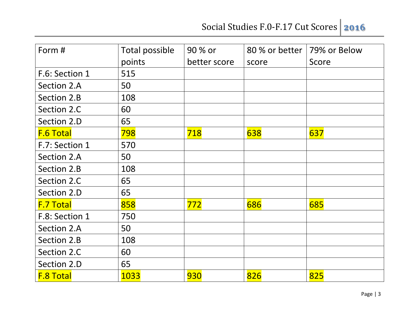| Form #           | Total possible | 90 % or      | 80 % or better | 79% or Below |
|------------------|----------------|--------------|----------------|--------------|
|                  | points         | better score | score          | Score        |
| F.6: Section 1   | 515            |              |                |              |
| Section 2.A      | 50             |              |                |              |
| Section 2.B      | 108            |              |                |              |
| Section 2.C      | 60             |              |                |              |
| Section 2.D      | 65             |              |                |              |
| <b>F.6 Total</b> | 798            | 718          | 638            | 637          |
| F.7: Section 1   | 570            |              |                |              |
| Section 2.A      | 50             |              |                |              |
| Section 2.B      | 108            |              |                |              |
| Section 2.C      | 65             |              |                |              |
| Section 2.D      | 65             |              |                |              |
| <b>F.7 Total</b> | 858            | 772          | 686            | 685          |
| F.8: Section 1   | 750            |              |                |              |
| Section 2.A      | 50             |              |                |              |
| Section 2.B      | 108            |              |                |              |
| Section 2.C      | 60             |              |                |              |
| Section 2.D      | 65             |              |                |              |
| <b>F.8 Total</b> | 1033           | 930          | 826            | 825          |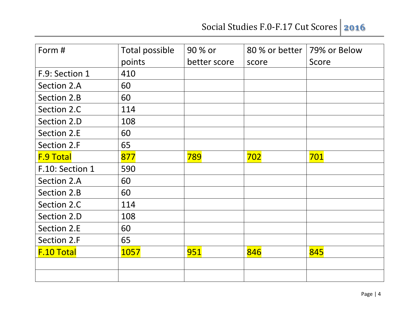| Form #            | Total possible | 90 % or      | 80 % or better | 79% or Below |
|-------------------|----------------|--------------|----------------|--------------|
|                   | points         | better score | score          | Score        |
| F.9: Section 1    | 410            |              |                |              |
| Section 2.A       | 60             |              |                |              |
| Section 2.B       | 60             |              |                |              |
| Section 2.C       | 114            |              |                |              |
| Section 2.D       | 108            |              |                |              |
| Section 2.E       | 60             |              |                |              |
| Section 2.F       | 65             |              |                |              |
| <b>F.9 Total</b>  | 877            | 789          | 702            | 701          |
| F.10: Section 1   | 590            |              |                |              |
| Section 2.A       | 60             |              |                |              |
| Section 2.B       | 60             |              |                |              |
| Section 2.C       | 114            |              |                |              |
| Section 2.D       | 108            |              |                |              |
| Section 2.E       | 60             |              |                |              |
| Section 2.F       | 65             |              |                |              |
| <b>F.10 Total</b> | 1057           | 951          | 846            | 845          |
|                   |                |              |                |              |
|                   |                |              |                |              |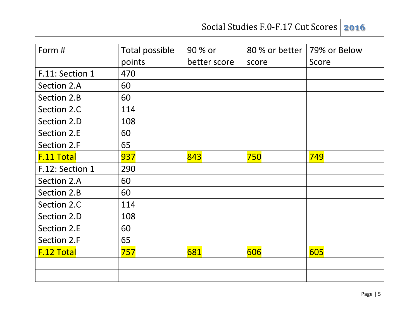| Form #            | Total possible | 90 % or      | 80 % or better | 79% or Below |
|-------------------|----------------|--------------|----------------|--------------|
|                   | points         | better score | score          | Score        |
| F.11: Section 1   | 470            |              |                |              |
| Section 2.A       | 60             |              |                |              |
| Section 2.B       | 60             |              |                |              |
| Section 2.C       | 114            |              |                |              |
| Section 2.D       | 108            |              |                |              |
| Section 2.E       | 60             |              |                |              |
| Section 2.F       | 65             |              |                |              |
| <b>F.11 Total</b> | 937            | 843          | 750            | 749          |
| F.12: Section 1   | 290            |              |                |              |
| Section 2.A       | 60             |              |                |              |
| Section 2.B       | 60             |              |                |              |
| Section 2.C       | 114            |              |                |              |
| Section 2.D       | 108            |              |                |              |
| Section 2.E       | 60             |              |                |              |
| Section 2.F       | 65             |              |                |              |
| <b>F.12 Total</b> | 757            | 681          | 606            | 605          |
|                   |                |              |                |              |
|                   |                |              |                |              |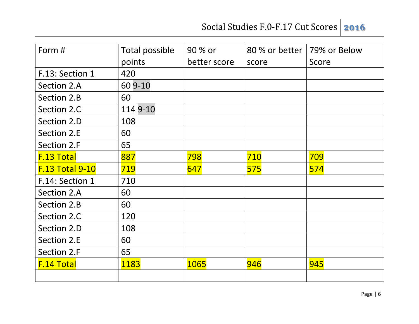| Form #                 | Total possible | 90 % or      | 80 % or better | 79% or Below |
|------------------------|----------------|--------------|----------------|--------------|
|                        | points         | better score | score          | Score        |
| F.13: Section 1        | 420            |              |                |              |
| Section 2.A            | 60 9-10        |              |                |              |
| Section 2.B            | 60             |              |                |              |
| Section 2.C            | 114 9-10       |              |                |              |
| Section 2.D            | 108            |              |                |              |
| Section 2.E            | 60             |              |                |              |
| Section 2.F            | 65             |              |                |              |
| <b>F.13 Total</b>      | 887            | 798          | 710            | 709          |
| <b>F.13 Total 9-10</b> | 719            | 647          | 575            | 574          |
| F.14: Section 1        | 710            |              |                |              |
| Section 2.A            | 60             |              |                |              |
| Section 2.B            | 60             |              |                |              |
| Section 2.C            | 120            |              |                |              |
| Section 2.D            | 108            |              |                |              |
| Section 2.E            | 60             |              |                |              |
| Section 2.F            | 65             |              |                |              |
| <b>F.14 Total</b>      | 1183           | <b>1065</b>  | 946            | 945          |
|                        |                |              |                |              |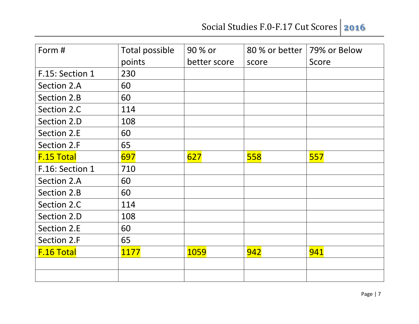| Form #            | Total possible | 90 % or      | 80 % or better | 79% or Below |
|-------------------|----------------|--------------|----------------|--------------|
|                   | points         | better score | score          | Score        |
| F.15: Section 1   | 230            |              |                |              |
| Section 2.A       | 60             |              |                |              |
| Section 2.B       | 60             |              |                |              |
| Section 2.C       | 114            |              |                |              |
| Section 2.D       | 108            |              |                |              |
| Section 2.E       | 60             |              |                |              |
| Section 2.F       | 65             |              |                |              |
| <b>F.15 Total</b> | 697            | 627          | 558            | 557          |
| F.16: Section 1   | 710            |              |                |              |
| Section 2.A       | 60             |              |                |              |
| Section 2.B       | 60             |              |                |              |
| Section 2.C       | 114            |              |                |              |
| Section 2.D       | 108            |              |                |              |
| Section 2.E       | 60             |              |                |              |
| Section 2.F       | 65             |              |                |              |
| <b>F.16 Total</b> | 1177           | <b>1059</b>  | 942            | 941          |
|                   |                |              |                |              |
|                   |                |              |                |              |